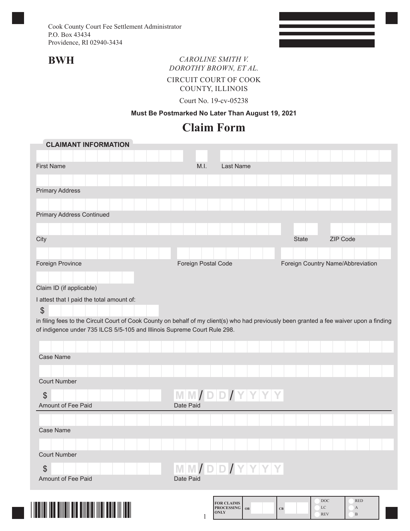## **BWH** *CAROLINE SMITH V. DOROTHY BROWN, ET AL.*

CIRCUIT COURT OF COOK

COUNTY, ILLINOIS

Court No. 19-cv-05238

#### **Must Be Postmarked No Later Than August 19, 2021**

# **Claim Form**

| <b>CLAIMANT INFORMATION</b>                                                                                                                                                                                          |                     |                                              |                      |              |                                             |  |
|----------------------------------------------------------------------------------------------------------------------------------------------------------------------------------------------------------------------|---------------------|----------------------------------------------|----------------------|--------------|---------------------------------------------|--|
|                                                                                                                                                                                                                      |                     |                                              |                      |              |                                             |  |
| <b>First Name</b>                                                                                                                                                                                                    | M.I.                | Last Name                                    |                      |              |                                             |  |
|                                                                                                                                                                                                                      |                     |                                              |                      |              |                                             |  |
| <b>Primary Address</b>                                                                                                                                                                                               |                     |                                              |                      |              |                                             |  |
|                                                                                                                                                                                                                      |                     |                                              |                      |              |                                             |  |
| <b>Primary Address Continued</b>                                                                                                                                                                                     |                     |                                              |                      |              |                                             |  |
|                                                                                                                                                                                                                      |                     |                                              |                      |              |                                             |  |
| City                                                                                                                                                                                                                 |                     |                                              |                      | <b>State</b> | ZIP Code                                    |  |
|                                                                                                                                                                                                                      |                     |                                              |                      |              |                                             |  |
| Foreign Province                                                                                                                                                                                                     | Foreign Postal Code |                                              |                      |              | Foreign Country Name/Abbreviation           |  |
|                                                                                                                                                                                                                      |                     |                                              |                      |              |                                             |  |
| Claim ID (if applicable)                                                                                                                                                                                             |                     |                                              |                      |              |                                             |  |
| I attest that I paid the total amount of:                                                                                                                                                                            |                     |                                              |                      |              |                                             |  |
| \$                                                                                                                                                                                                                   |                     |                                              |                      |              |                                             |  |
| in filing fees to the Circuit Court of Cook County on behalf of my client(s) who had previously been granted a fee waiver upon a finding<br>of indigence under 735 ILCS 5/5-105 and Illinois Supreme Court Rule 298. |                     |                                              |                      |              |                                             |  |
|                                                                                                                                                                                                                      |                     |                                              |                      |              |                                             |  |
|                                                                                                                                                                                                                      |                     |                                              |                      |              |                                             |  |
| <b>Case Name</b>                                                                                                                                                                                                     |                     |                                              |                      |              |                                             |  |
|                                                                                                                                                                                                                      |                     |                                              |                      |              |                                             |  |
| <b>Court Number</b>                                                                                                                                                                                                  |                     |                                              |                      |              |                                             |  |
| $\mathfrak{S}$                                                                                                                                                                                                       | MM/DD/YYYY          |                                              |                      |              |                                             |  |
| Amount of Fee Paid                                                                                                                                                                                                   | Date Paid           |                                              |                      |              |                                             |  |
|                                                                                                                                                                                                                      |                     |                                              |                      |              |                                             |  |
| <b>Case Name</b>                                                                                                                                                                                                     |                     |                                              |                      |              |                                             |  |
|                                                                                                                                                                                                                      |                     |                                              |                      |              |                                             |  |
| <b>Court Number</b>                                                                                                                                                                                                  |                     |                                              |                      |              |                                             |  |
| $\boldsymbol{\theta}$                                                                                                                                                                                                | MM/DD/YYYY          |                                              |                      |              |                                             |  |
| Amount of Fee Paid                                                                                                                                                                                                   | Date Paid           |                                              |                      |              |                                             |  |
|                                                                                                                                                                                                                      |                     |                                              |                      |              |                                             |  |
|                                                                                                                                                                                                                      |                     | <b>FOR CLAIMS</b><br><b>PROCESSING</b><br>OB | $\mathbf C\mathbf B$ |              | DOC<br><b>RED</b><br>LC<br>$\boldsymbol{A}$ |  |
|                                                                                                                                                                                                                      |                     | <b>ONLY</b>                                  |                      |              | <b>REV</b><br>$\, {\bf B}$                  |  |